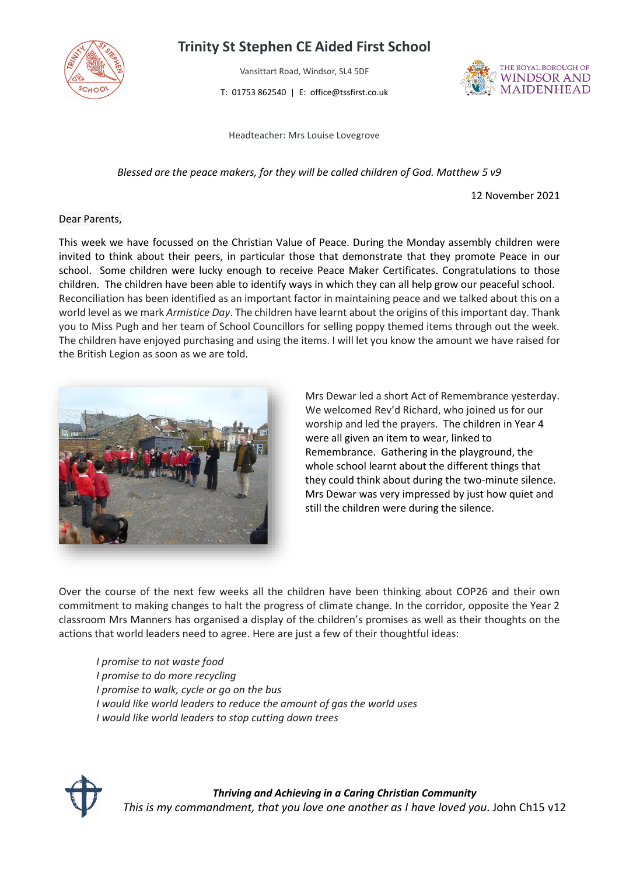

## **Trinity St Stephen CE Aided First School**

Vansittart Road, Windsor, SL4 5DF

T: 01753 862540 | E: office@tssfirst.co.uk



Headteacher: Mrs Louise Lovegrove

*Blessed are the peace makers, for they will be called children of God. Matthew 5 v9*

12 November 2021

## Dear Parents,

This week we have focussed on the Christian Value of Peace. During the Monday assembly children were invited to think about their peers, in particular those that demonstrate that they promote Peace in our school. Some children were lucky enough to receive Peace Maker Certificates. Congratulations to those children. The children have been able to identify ways in which they can all help grow our peaceful school. Reconciliation has been identified as an important factor in maintaining peace and we talked about this on a world level as we mark *Armistice Day*. The children have learnt about the origins of this important day. Thank you to Miss Pugh and her team of School Councillors for selling poppy themed items through out the week. The children have enjoyed purchasing and using the items. I will let you know the amount we have raised for the British Legion as soon as we are told.



Mrs Dewar led a short Act of Remembrance yesterday. We welcomed Rev'd Richard, who joined us for our worship and led the prayers. The children in Year 4 were all given an item to wear, linked to Remembrance. Gathering in the playground, the whole school learnt about the different things that they could think about during the two-minute silence. Mrs Dewar was very impressed by just how quiet and still the children were during the silence.

Over the course of the next few weeks all the children have been thinking about COP26 and their own commitment to making changes to halt the progress of climate change. In the corridor, opposite the Year 2 classroom Mrs Manners has organised a display of the children's promises as well as their thoughts on the actions that world leaders need to agree. Here are just a few of their thoughtful ideas:

*I promise to not waste food I promise to do more recycling I promise to walk, cycle or go on the bus I would like world leaders to reduce the amount of gas the world uses I would like world leaders to stop cutting down trees*



*Thriving and Achieving in a Caring Christian Community This is my commandment, that you love one another as I have loved you*. John Ch15 v12